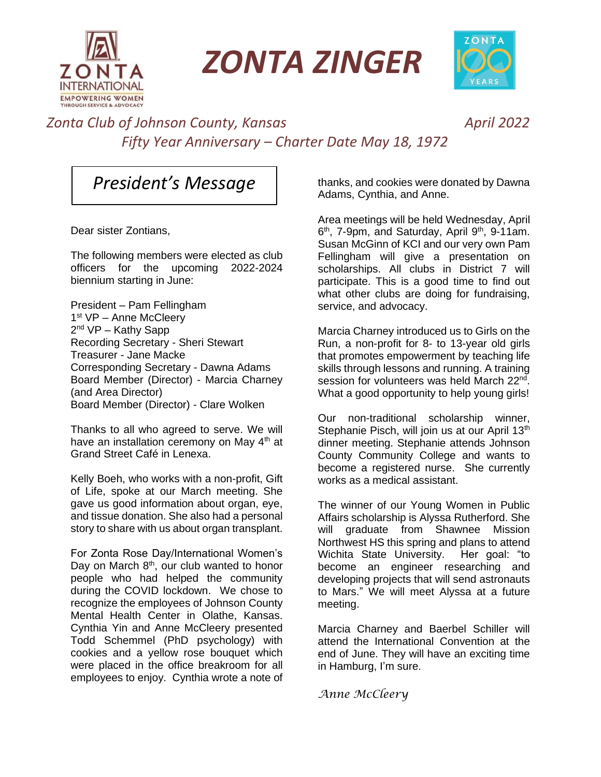

*ZONTA ZINGER*



#### *Zonta Club of Johnson County, Kansas April 2022 Fifty Year Anniversary – Charter Date May 18, 1972*

## *President's Message*

Dear sister Zontians,

The following members were elected as club officers for the upcoming 2022-2024 biennium starting in June:

President – Pam Fellingham 1<sup>st</sup> VP - Anne McCleery 2<sup>nd</sup> VP – Kathy Sapp Recording Secretary - Sheri Stewart Treasurer - Jane Macke Corresponding Secretary - Dawna Adams Board Member (Director) - Marcia Charney (and Area Director) Board Member (Director) - Clare Wolken

Thanks to all who agreed to serve. We will have an installation ceremony on May 4<sup>th</sup> at Grand Street Café in Lenexa.

Kelly Boeh, who works with a non-profit, Gift of Life, spoke at our March meeting. She gave us good information about organ, eye, and tissue donation. She also had a personal story to share with us about organ transplant.

For Zonta Rose Day/International Women's Day on March 8<sup>th</sup>, our club wanted to honor people who had helped the community during the COVID lockdown. We chose to recognize the employees of Johnson County Mental Health Center in Olathe, Kansas. Cynthia Yin and Anne McCleery presented Todd Schemmel (PhD psychology) with cookies and a yellow rose bouquet which were placed in the office breakroom for all employees to enjoy. Cynthia wrote a note of

thanks, and cookies were donated by Dawna Adams, Cynthia, and Anne.

Area meetings will be held Wednesday, April 6<sup>th</sup>, 7-9pm, and Saturday, April 9<sup>th</sup>, 9-11am. Susan McGinn of KCI and our very own Pam Fellingham will give a presentation on scholarships. All clubs in District 7 will participate. This is a good time to find out what other clubs are doing for fundraising, service, and advocacy.

Marcia Charney introduced us to Girls on the Run, a non-profit for 8- to 13-year old girls that promotes empowerment by teaching life skills through lessons and running. A training session for volunteers was held March 22<sup>nd</sup>. What a good opportunity to help young girls!

Our non-traditional scholarship winner, Stephanie Pisch, will join us at our April 13<sup>th</sup> dinner meeting. Stephanie attends Johnson County Community College and wants to become a registered nurse. She currently works as a medical assistant.

The winner of our Young Women in Public Affairs scholarship is Alyssa Rutherford. She will graduate from Shawnee Mission Northwest HS this spring and plans to attend Wichita State University. Her goal: "to become an engineer researching and developing projects that will send astronauts to Mars." We will meet Alyssa at a future meeting.

Marcia Charney and Baerbel Schiller will attend the International Convention at the end of June. They will have an exciting time in Hamburg, I'm sure.

*Anne McCleery*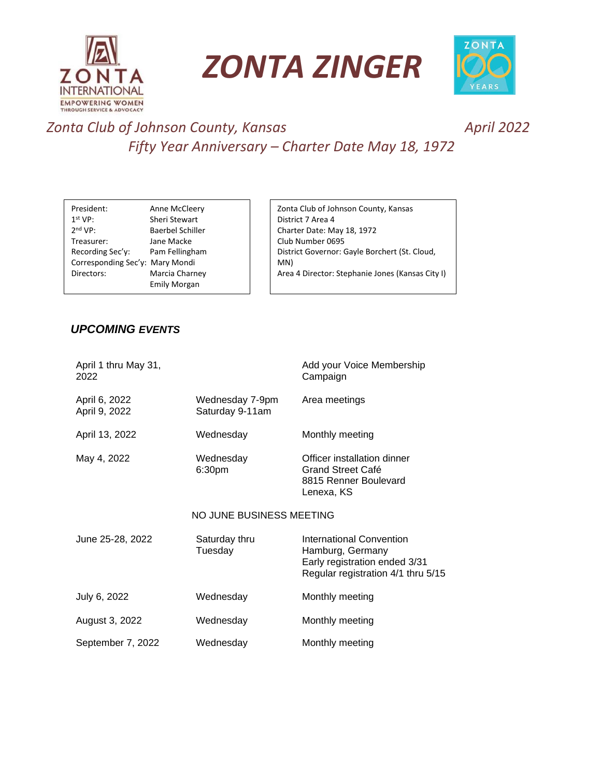

*ZONTA ZINGER*



#### *Zonta Club of Johnson County, Kansas April 2022 Fifty Year Anniversary – Charter Date May 18, 1972*

| President:                      | Anne McCleery           | Zonta Club of Johnson County, Kansas             |
|---------------------------------|-------------------------|--------------------------------------------------|
| 1 <sup>st</sup> VP:             | Sheri Stewart           | District 7 Area 4                                |
| 2 <sup>nd</sup> VP:             | <b>Baerbel Schiller</b> | Charter Date: May 18, 1972                       |
| Treasurer:                      | Jane Macke              | Club Number 0695                                 |
| Recording Sec'y:                | Pam Fellingham          | District Governor: Gayle Borchert (St. Cloud,    |
| Corresponding Sec'y: Mary Mondi |                         | MN)                                              |
| Directors:                      | Marcia Charney          | Area 4 Director: Stephanie Jones (Kansas City I) |
|                                 | <b>Emily Morgan</b>     |                                                  |
|                                 |                         |                                                  |

#### *UPCOMING EVENTS*

Advocacy Chair: Cynthia Yin

| April 1 thru May 31,<br>2022   |                                    | Add your Voice Membership<br>Campaign                                                                               |  |  |
|--------------------------------|------------------------------------|---------------------------------------------------------------------------------------------------------------------|--|--|
| April 6, 2022<br>April 9, 2022 | Wednesday 7-9pm<br>Saturday 9-11am | Area meetings                                                                                                       |  |  |
| April 13, 2022                 | Wednesday                          | Monthly meeting                                                                                                     |  |  |
| May 4, 2022                    | Wednesday<br>6:30pm                | Officer installation dinner<br>Grand Street Café<br>8815 Renner Boulevard<br>Lenexa, KS                             |  |  |
| NO JUNE BUSINESS MEETING       |                                    |                                                                                                                     |  |  |
| June 25-28, 2022               | Saturday thru<br>Tuesday           | International Convention<br>Hamburg, Germany<br>Early registration ended 3/31<br>Regular registration 4/1 thru 5/15 |  |  |
| July 6, 2022                   | Wednesday                          | Monthly meeting                                                                                                     |  |  |
| August 3, 2022                 | Wednesday                          | Monthly meeting                                                                                                     |  |  |
| September 7, 2022              | Wednesday                          | Monthly meeting                                                                                                     |  |  |